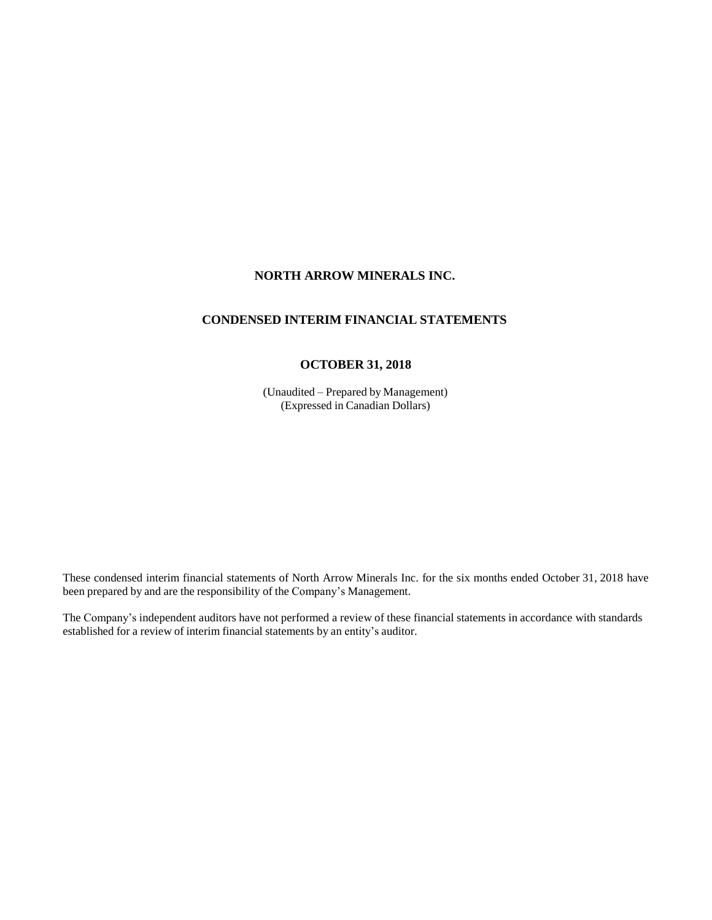# **NORTH ARROW MINERALS INC.**

# **CONDENSED INTERIM FINANCIAL STATEMENTS**

# **OCTOBER 31, 2018**

(Unaudited – Prepared by Management) (Expressed in Canadian Dollars)

These condensed interim financial statements of North Arrow Minerals Inc. for the six months ended October 31, 2018 have been prepared by and are the responsibility of the Company's Management.

The Company's independent auditors have not performed a review of these financial statements in accordance with standards established for a review of interim financial statements by an entity's auditor.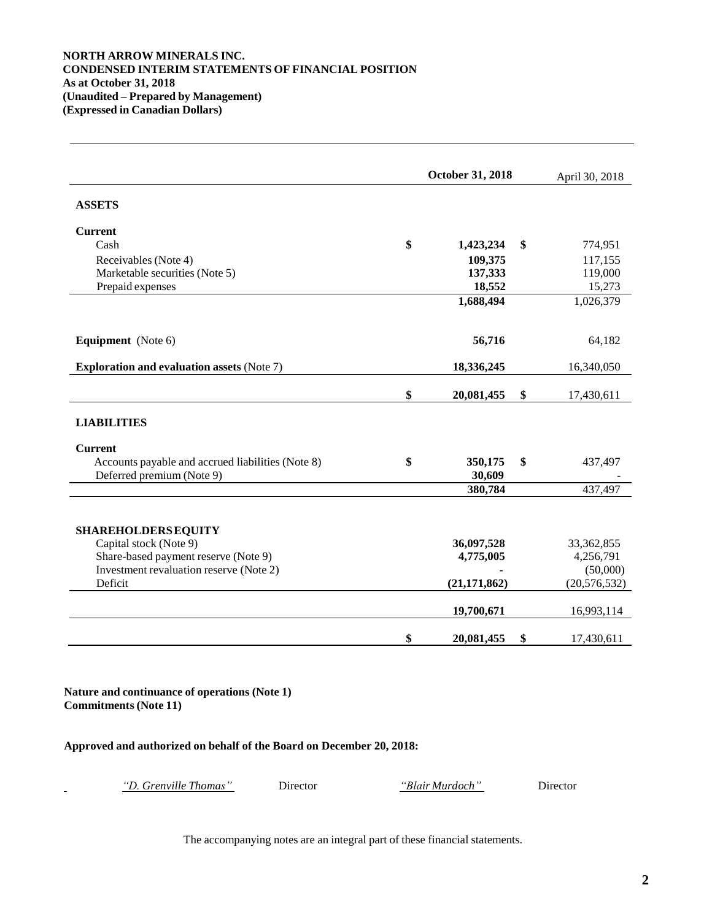# **NORTH ARROW MINERALS INC. CONDENSED INTERIM STATEMENTS OF FINANCIAL POSITION As at October 31, 2018 (Unaudited – Prepared by Management) (Expressed in Canadian Dollars)**

|                                                   | October 31, 2018 | April 30, 2018 |                |
|---------------------------------------------------|------------------|----------------|----------------|
| <b>ASSETS</b>                                     |                  |                |                |
| <b>Current</b>                                    |                  |                |                |
| Cash                                              | \$<br>1,423,234  | \$             | 774,951        |
| Receivables (Note 4)                              | 109,375          |                | 117,155        |
| Marketable securities (Note 5)                    | 137,333          |                | 119,000        |
| Prepaid expenses                                  | 18,552           |                | 15,273         |
|                                                   | 1,688,494        |                | 1,026,379      |
| Equipment (Note 6)                                | 56,716           |                | 64,182         |
| <b>Exploration and evaluation assets (Note 7)</b> | 18,336,245       |                | 16,340,050     |
|                                                   | \$<br>20,081,455 | \$             | 17,430,611     |
| <b>LIABILITIES</b>                                |                  |                |                |
| <b>Current</b>                                    |                  |                |                |
| Accounts payable and accrued liabilities (Note 8) | \$<br>350,175    | \$             | 437,497        |
| Deferred premium (Note 9)                         | 30,609           |                |                |
|                                                   | 380,784          |                | 437,497        |
| <b>SHAREHOLDERS EQUITY</b>                        |                  |                |                |
| Capital stock (Note 9)                            | 36,097,528       |                | 33, 362, 855   |
| Share-based payment reserve (Note 9)              | 4,775,005        |                | 4,256,791      |
| Investment revaluation reserve (Note 2)           |                  |                | (50,000)       |
| Deficit                                           | (21, 171, 862)   |                | (20, 576, 532) |
|                                                   | 19,700,671       |                | 16,993,114     |
|                                                   |                  |                |                |
|                                                   | \$<br>20,081,455 | \$             | 17,430,611     |

**Nature and continuance of operations (Note 1) Commitments(Note 11)**

# **Approved and authorized on behalf of the Board on December 20, 2018:**

*"D. Grenville Thomas"* Director *"Blair Murdoch"* Director

The accompanying notes are an integral part of these financial statements.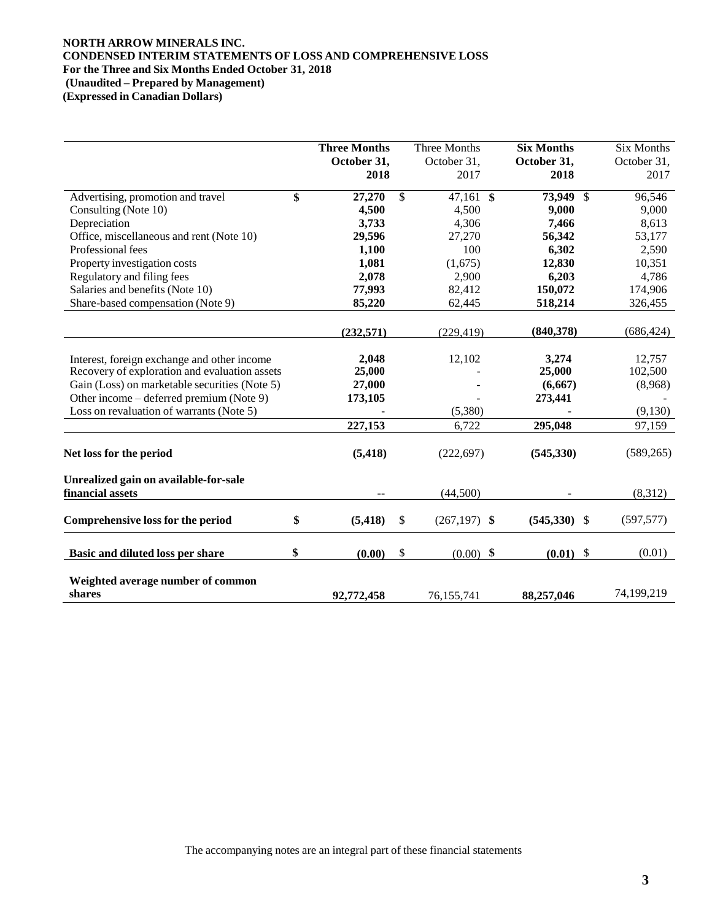# **NORTH ARROW MINERALS INC. CONDENSED INTERIM STATEMENTS OF LOSS AND COMPREHENSIVE LOSS For the Three and Six Months Ended October 31, 2018 (Unaudited – Prepared by Management)**

**(Expressed in Canadian Dollars)**

|                                               | <b>Three Months</b><br>October 31, | Three Months<br>October 31, | <b>Six Months</b><br>October 31, | Six Months<br>October 31, |
|-----------------------------------------------|------------------------------------|-----------------------------|----------------------------------|---------------------------|
|                                               | 2018                               | 2017                        | 2018                             | 2017                      |
| Advertising, promotion and travel             | \$<br>27,270                       | \$<br>$47,161$ \$           | 73,949 \$                        | 96,546                    |
| Consulting (Note 10)                          | 4,500                              | 4,500                       | 9,000                            | 9,000                     |
| Depreciation                                  | 3,733                              | 4,306                       | 7,466                            | 8,613                     |
| Office, miscellaneous and rent (Note 10)      | 29,596                             | 27,270                      | 56,342                           | 53,177                    |
| Professional fees                             | 1,100                              | 100                         | 6,302                            | 2,590                     |
| Property investigation costs                  | 1,081                              | (1,675)                     | 12,830                           | 10,351                    |
| Regulatory and filing fees                    | 2,078                              | 2,900                       | 6,203                            | 4,786                     |
| Salaries and benefits (Note 10)               | 77,993                             | 82,412                      | 150,072                          | 174,906                   |
| Share-based compensation (Note 9)             | 85,220                             | 62,445                      | 518,214                          | 326,455                   |
|                                               | (232, 571)                         | (229.419)                   | (840, 378)                       | (686, 424)                |
| Interest, foreign exchange and other income   | 2,048                              | 12,102                      | 3,274                            | 12,757                    |
| Recovery of exploration and evaluation assets | 25,000                             |                             | 25,000                           | 102,500                   |
| Gain (Loss) on marketable securities (Note 5) | 27,000                             |                             | (6,667)                          | (8,968)                   |
| Other income – deferred premium (Note 9)      | 173,105                            |                             | 273,441                          |                           |
| Loss on revaluation of warrants (Note 5)      |                                    | (5,380)                     |                                  | (9,130)                   |
|                                               | 227,153                            | 6,722                       | 295,048                          | 97,159                    |
| Net loss for the period                       | (5, 418)                           | (222, 697)                  | (545, 330)                       | (589, 265)                |
| Unrealized gain on available-for-sale         |                                    |                             |                                  |                           |
| financial assets                              |                                    | (44,500)                    |                                  | (8,312)                   |
| Comprehensive loss for the period             | \$<br>(5, 418)                     | \$<br>$(267,197)$ \$        | $(545,330)$ \$                   | (597, 577)                |
| Basic and diluted loss per share              | \$<br>(0.00)                       | \$<br>$(0.00)$ \$           | $(0.01)$ \$                      | (0.01)                    |
| Weighted average number of common             |                                    |                             |                                  |                           |
| shares                                        | 92,772,458                         | 76,155,741                  | 88,257,046                       | 74,199,219                |

The accompanying notes are an integral part of these financial statements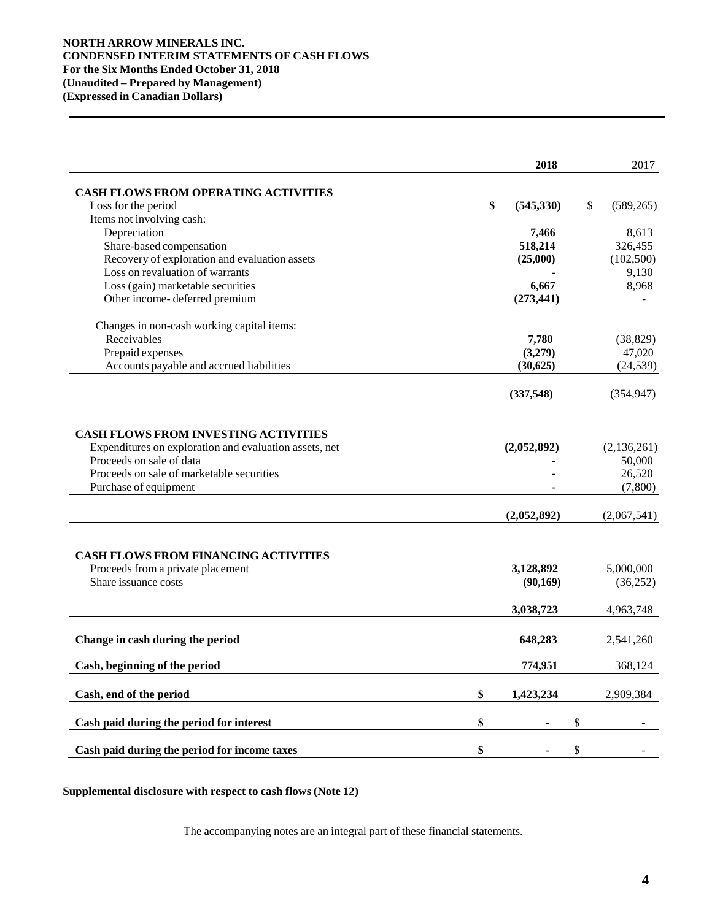# **NORTH ARROW MINERALS INC. CONDENSED INTERIM STATEMENTS OF CASH FLOWS For the Six Months Ended October 31, 2018 (Unaudited – Prepared by Management) (Expressed in Canadian Dollars)**

|                                                                                                                                                                                                                                                        | 2018                       | 2017                                                        |
|--------------------------------------------------------------------------------------------------------------------------------------------------------------------------------------------------------------------------------------------------------|----------------------------|-------------------------------------------------------------|
| <b>CASH FLOWS FROM OPERATING ACTIVITIES</b>                                                                                                                                                                                                            |                            |                                                             |
| Loss for the period                                                                                                                                                                                                                                    | \$<br>(545, 330)           | \$<br>(589, 265)                                            |
| Items not involving cash:                                                                                                                                                                                                                              |                            |                                                             |
| Depreciation                                                                                                                                                                                                                                           | 7,466                      | 8,613                                                       |
| Share-based compensation                                                                                                                                                                                                                               | 518,214                    | 326,455                                                     |
| Recovery of exploration and evaluation assets                                                                                                                                                                                                          | (25,000)                   | (102, 500)                                                  |
| Loss on revaluation of warrants                                                                                                                                                                                                                        |                            | 9,130                                                       |
| Loss (gain) marketable securities                                                                                                                                                                                                                      | 6,667                      | 8,968                                                       |
| Other income-deferred premium                                                                                                                                                                                                                          | (273, 441)                 |                                                             |
| Changes in non-cash working capital items:                                                                                                                                                                                                             |                            |                                                             |
| Receivables                                                                                                                                                                                                                                            | 7,780                      | (38, 829)                                                   |
| Prepaid expenses                                                                                                                                                                                                                                       | (3,279)                    | 47,020                                                      |
| Accounts payable and accrued liabilities                                                                                                                                                                                                               | (30, 625)                  | (24, 539)                                                   |
|                                                                                                                                                                                                                                                        | (337, 548)                 | (354, 947)                                                  |
| <b>CASH FLOWS FROM INVESTING ACTIVITIES</b><br>Expenditures on exploration and evaluation assets, net<br>Proceeds on sale of data<br>Proceeds on sale of marketable securities<br>Purchase of equipment<br><b>CASH FLOWS FROM FINANCING ACTIVITIES</b> | (2,052,892)<br>(2,052,892) | (2, 136, 261)<br>50,000<br>26,520<br>(7,800)<br>(2,067,541) |
| Proceeds from a private placement                                                                                                                                                                                                                      | 3,128,892                  | 5,000,000                                                   |
| Share issuance costs                                                                                                                                                                                                                                   | (90, 169)                  | (36,252)                                                    |
|                                                                                                                                                                                                                                                        | 3,038,723                  | 4,963,748                                                   |
| Change in cash during the period                                                                                                                                                                                                                       | 648,283                    | 2,541,260                                                   |
| Cash, beginning of the period                                                                                                                                                                                                                          | 774,951                    | 368,124                                                     |
| Cash, end of the period                                                                                                                                                                                                                                | \$<br>1,423,234            | 2,909,384                                                   |
| Cash paid during the period for interest                                                                                                                                                                                                               | \$                         | \$                                                          |
| Cash paid during the period for income taxes                                                                                                                                                                                                           | \$                         | \$                                                          |

**Supplemental disclosure with respect to cash flows (Note 12)**

The accompanying notes are an integral part of these financial statements.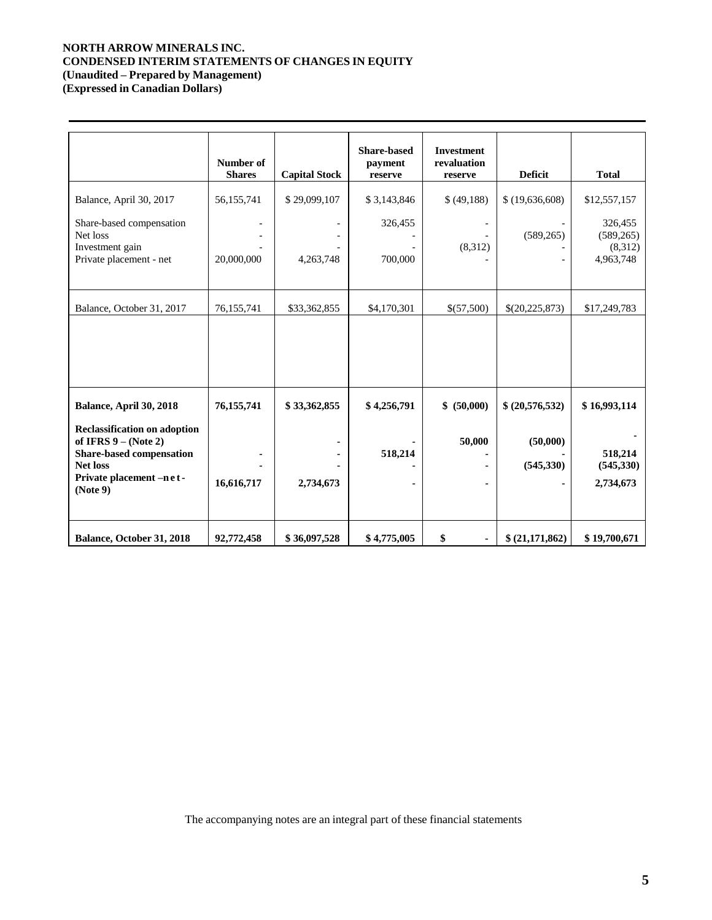# **NORTH ARROW MINERALS INC. CONDENSED INTERIM STATEMENTS OF CHANGES IN EQUITY (Unaudited – Prepared by Management)**

**(Expressed in Canadian Dollars)**

|                                                                                                                                                               | Number of<br><b>Shares</b> | <b>Capital Stock</b> | <b>Share-based</b><br>payment<br>reserve | <b>Investment</b><br>revaluation<br>reserve | <b>Deficit</b>         | <b>Total</b>                                  |
|---------------------------------------------------------------------------------------------------------------------------------------------------------------|----------------------------|----------------------|------------------------------------------|---------------------------------------------|------------------------|-----------------------------------------------|
| Balance, April 30, 2017                                                                                                                                       | 56,155,741                 | \$29,099,107         | \$3,143,846                              | \$(49,188)                                  | \$(19,636,608)         | \$12,557,157                                  |
| Share-based compensation<br>Net loss<br>Investment gain<br>Private placement - net                                                                            | 20,000,000                 | 4,263,748            | 326,455<br>700,000                       | $\overline{\phantom{a}}$<br>(8,312)         | (589, 265)             | 326,455<br>(589, 265)<br>(8,312)<br>4,963,748 |
| Balance, October 31, 2017                                                                                                                                     | 76,155,741                 | \$33,362,855         | \$4,170,301                              | \$(57,500)                                  | \$(20,225,873)         | \$17,249,783                                  |
|                                                                                                                                                               |                            |                      |                                          |                                             |                        |                                               |
| Balance, April 30, 2018                                                                                                                                       | 76, 155, 741               | \$33,362,855         | \$4,256,791                              | \$ (50,000)                                 | \$ (20,576,532)        | \$16,993,114                                  |
| <b>Reclassification on adoption</b><br>of IFRS $9 - (Note 2)$<br><b>Share-based compensation</b><br><b>Net loss</b><br>Private placement -n e t -<br>(Note 9) | 16,616,717                 | 2,734,673            | 518,214                                  | 50,000<br>٠                                 | (50,000)<br>(545, 330) | 518,214<br>(545, 330)<br>2,734,673            |
| Balance, October 31, 2018                                                                                                                                     | 92,772,458                 | \$36,097,528         | \$4,775,005                              | \$<br>$\blacksquare$                        | \$ (21,171,862)        | \$19,700,671                                  |

The accompanying notes are an integral part of these financial statements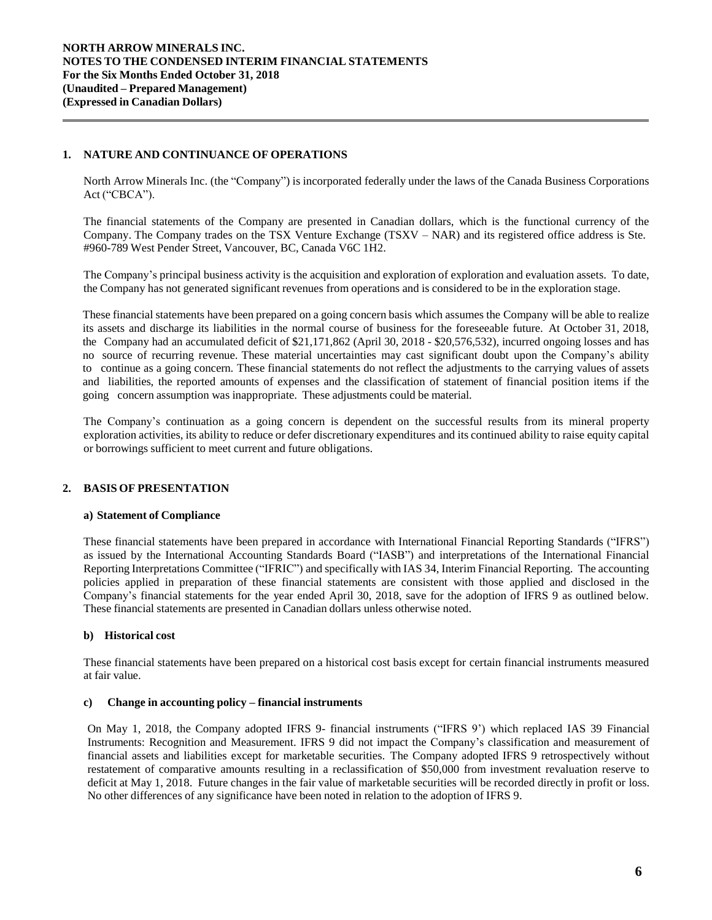# **1. NATURE AND CONTINUANCE OF OPERATIONS**

North Arrow Minerals Inc. (the "Company") is incorporated federally under the laws of the Canada Business Corporations Act ("CBCA").

The financial statements of the Company are presented in Canadian dollars, which is the functional currency of the Company. The Company trades on the TSX Venture Exchange (TSXV – NAR) and its registered office address is Ste. #960-789 West Pender Street, Vancouver, BC, Canada V6C 1H2.

The Company's principal business activity is the acquisition and exploration of exploration and evaluation assets. To date, the Company has not generated significant revenues from operations and is considered to be in the exploration stage.

These financial statements have been prepared on a going concern basis which assumes the Company will be able to realize its assets and discharge its liabilities in the normal course of business for the foreseeable future. At October 31, 2018, the Company had an accumulated deficit of \$21,171,862 (April 30, 2018 - \$20,576,532), incurred ongoing losses and has no source of recurring revenue. These material uncertainties may cast significant doubt upon the Company's ability to continue as a going concern. These financial statements do not reflect the adjustments to the carrying values of assets and liabilities, the reported amounts of expenses and the classification of statement of financial position items if the going concern assumption was inappropriate. These adjustments could be material.

The Company's continuation as a going concern is dependent on the successful results from its mineral property exploration activities, its ability to reduce or defer discretionary expenditures and its continued ability to raise equity capital or borrowings sufficient to meet current and future obligations.

# **2. BASIS OF PRESENTATION**

#### **a) Statement of Compliance**

These financial statements have been prepared in accordance with International Financial Reporting Standards ("IFRS") as issued by the International Accounting Standards Board ("IASB") and interpretations of the International Financial Reporting Interpretations Committee ("IFRIC") and specifically with IAS 34, Interim Financial Reporting. The accounting policies applied in preparation of these financial statements are consistent with those applied and disclosed in the Company's financial statements for the year ended April 30, 2018, save for the adoption of IFRS 9 as outlined below. These financial statements are presented in Canadian dollars unless otherwise noted.

# **b) Historical cost**

These financial statements have been prepared on a historical cost basis except for certain financial instruments measured at fair value.

#### **c) Change in accounting policy – financial instruments**

On May 1, 2018, the Company adopted IFRS 9- financial instruments ("IFRS 9') which replaced IAS 39 Financial Instruments: Recognition and Measurement. IFRS 9 did not impact the Company's classification and measurement of financial assets and liabilities except for marketable securities. The Company adopted IFRS 9 retrospectively without restatement of comparative amounts resulting in a reclassification of \$50,000 from investment revaluation reserve to deficit at May 1, 2018. Future changes in the fair value of marketable securities will be recorded directly in profit or loss. No other differences of any significance have been noted in relation to the adoption of IFRS 9.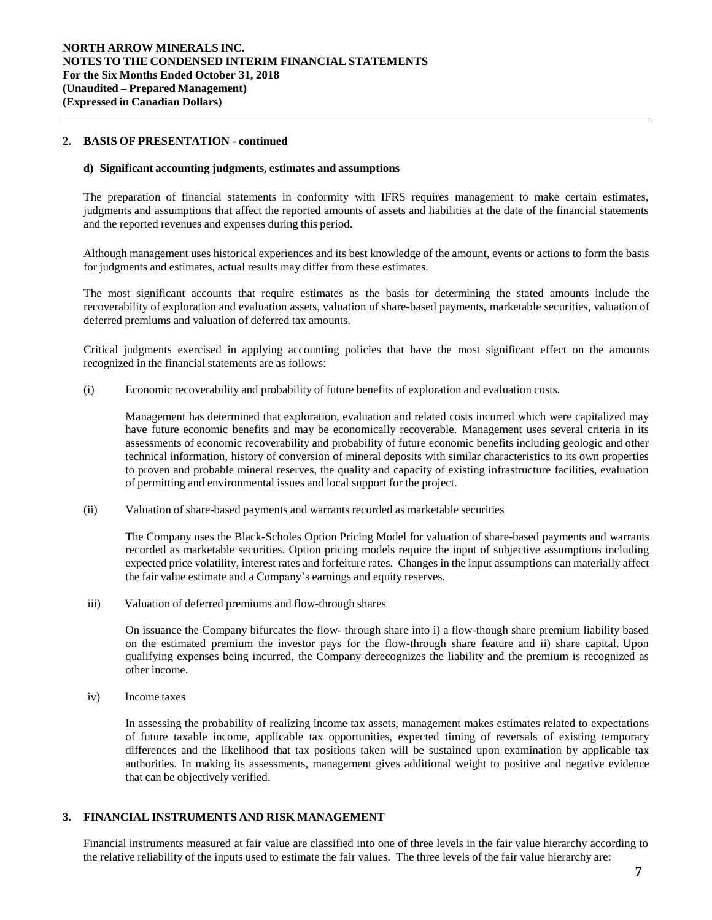# **2. BASIS OF PRESENTATION - continued**

#### **d) Significant accounting judgments, estimates and assumptions**

The preparation of financial statements in conformity with IFRS requires management to make certain estimates, judgments and assumptions that affect the reported amounts of assets and liabilities at the date of the financial statements and the reported revenues and expenses during this period.

Although management uses historical experiences and its best knowledge of the amount, events or actions to form the basis for judgments and estimates, actual results may differ from these estimates.

The most significant accounts that require estimates as the basis for determining the stated amounts include the recoverability of exploration and evaluation assets, valuation of share-based payments, marketable securities, valuation of deferred premiums and valuation of deferred tax amounts.

Critical judgments exercised in applying accounting policies that have the most significant effect on the amounts recognized in the financial statements are as follows:

(i) Economic recoverability and probability of future benefits of exploration and evaluation costs*.*

Management has determined that exploration, evaluation and related costs incurred which were capitalized may have future economic benefits and may be economically recoverable. Management uses several criteria in its assessments of economic recoverability and probability of future economic benefits including geologic and other technical information, history of conversion of mineral deposits with similar characteristics to its own properties to proven and probable mineral reserves, the quality and capacity of existing infrastructure facilities, evaluation of permitting and environmental issues and local support for the project.

(ii) Valuation of share-based payments and warrants recorded as marketable securities

The Company uses the Black-Scholes Option Pricing Model for valuation of share-based payments and warrants recorded as marketable securities. Option pricing models require the input of subjective assumptions including expected price volatility, interest rates and forfeiture rates. Changes in the input assumptions can materially affect the fair value estimate and a Company's earnings and equity reserves.

iii) Valuation of deferred premiums and flow-through shares

On issuance the Company bifurcates the flow- through share into i) a flow-though share premium liability based on the estimated premium the investor pays for the flow-through share feature and ii) share capital. Upon qualifying expenses being incurred, the Company derecognizes the liability and the premium is recognized as other income.

iv) Income taxes

In assessing the probability of realizing income tax assets, management makes estimates related to expectations of future taxable income, applicable tax opportunities, expected timing of reversals of existing temporary differences and the likelihood that tax positions taken will be sustained upon examination by applicable tax authorities. In making its assessments, management gives additional weight to positive and negative evidence that can be objectively verified.

# **3. FINANCIAL INSTRUMENTS AND RISK MANAGEMENT**

Financial instruments measured at fair value are classified into one of three levels in the fair value hierarchy according to the relative reliability of the inputs used to estimate the fair values. The three levels of the fair value hierarchy are: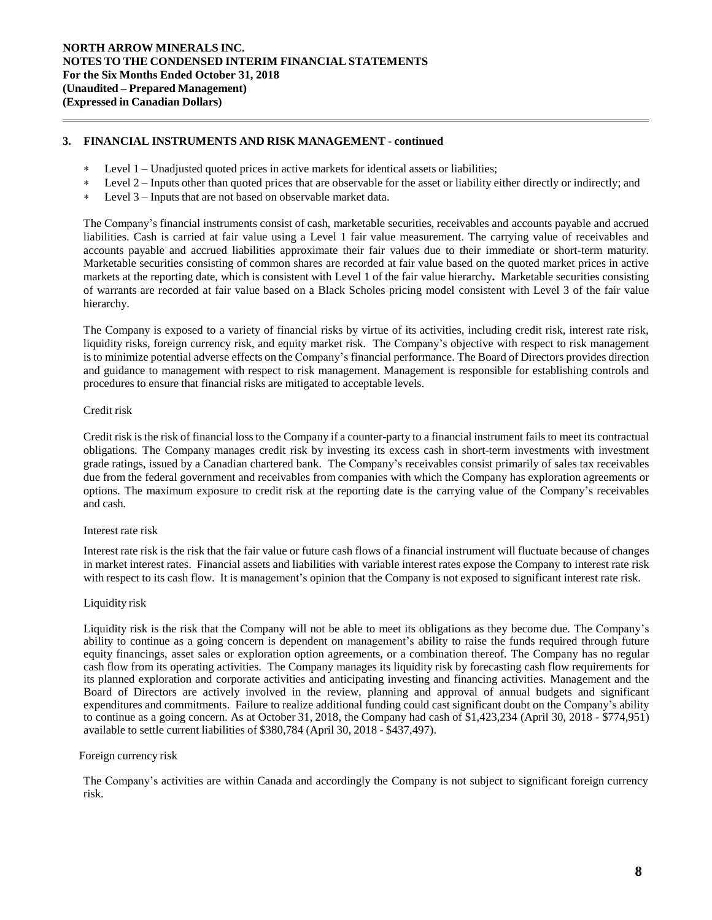# **3. FINANCIAL INSTRUMENTS AND RISK MANAGEMENT - continued**

- Level 1 Unadjusted quoted prices in active markets for identical assets or liabilities;
- Level 2 Inputs other than quoted prices that are observable for the asset or liability either directly or indirectly; and
- Level 3 Inputs that are not based on observable market data.

The Company's financial instruments consist of cash, marketable securities, receivables and accounts payable and accrued liabilities. Cash is carried at fair value using a Level 1 fair value measurement. The carrying value of receivables and accounts payable and accrued liabilities approximate their fair values due to their immediate or short-term maturity. Marketable securities consisting of common shares are recorded at fair value based on the quoted market prices in active markets at the reporting date, which is consistent with Level 1 of the fair value hierarchy**.** Marketable securities consisting of warrants are recorded at fair value based on a Black Scholes pricing model consistent with Level 3 of the fair value hierarchy.

The Company is exposed to a variety of financial risks by virtue of its activities, including credit risk, interest rate risk, liquidity risks, foreign currency risk, and equity market risk. The Company's objective with respect to risk management isto minimize potential adverse effects on the Company's financial performance. The Board of Directors provides direction and guidance to management with respect to risk management. Management is responsible for establishing controls and procedures to ensure that financial risks are mitigated to acceptable levels.

# Credit risk

Credit risk isthe risk of financial lossto the Company if a counter-party to a financial instrument fails to meet its contractual obligations. The Company manages credit risk by investing its excess cash in short-term investments with investment grade ratings, issued by a Canadian chartered bank. The Company's receivables consist primarily of sales tax receivables due from the federal government and receivables from companies with which the Company has exploration agreements or options. The maximum exposure to credit risk at the reporting date is the carrying value of the Company's receivables and cash.

### Interest rate risk

Interest rate risk is the risk that the fair value or future cash flows of a financial instrument will fluctuate because of changes in market interest rates. Financial assets and liabilities with variable interest rates expose the Company to interest rate risk with respect to its cash flow. It is management's opinion that the Company is not exposed to significant interest rate risk.

# Liquidity risk

Liquidity risk is the risk that the Company will not be able to meet its obligations as they become due. The Company's ability to continue as a going concern is dependent on management's ability to raise the funds required through future equity financings, asset sales or exploration option agreements, or a combination thereof. The Company has no regular cash flow from its operating activities. The Company manages its liquidity risk by forecasting cash flow requirements for its planned exploration and corporate activities and anticipating investing and financing activities. Management and the Board of Directors are actively involved in the review, planning and approval of annual budgets and significant expenditures and commitments. Failure to realize additional funding could cast significant doubt on the Company's ability to continue as a going concern. As at October 31, 2018, the Company had cash of \$1,423,234 (April 30, 2018 - \$774,951) available to settle current liabilities of \$380,784 (April 30, 2018 - \$437,497).

#### Foreign currency risk

The Company's activities are within Canada and accordingly the Company is not subject to significant foreign currency risk.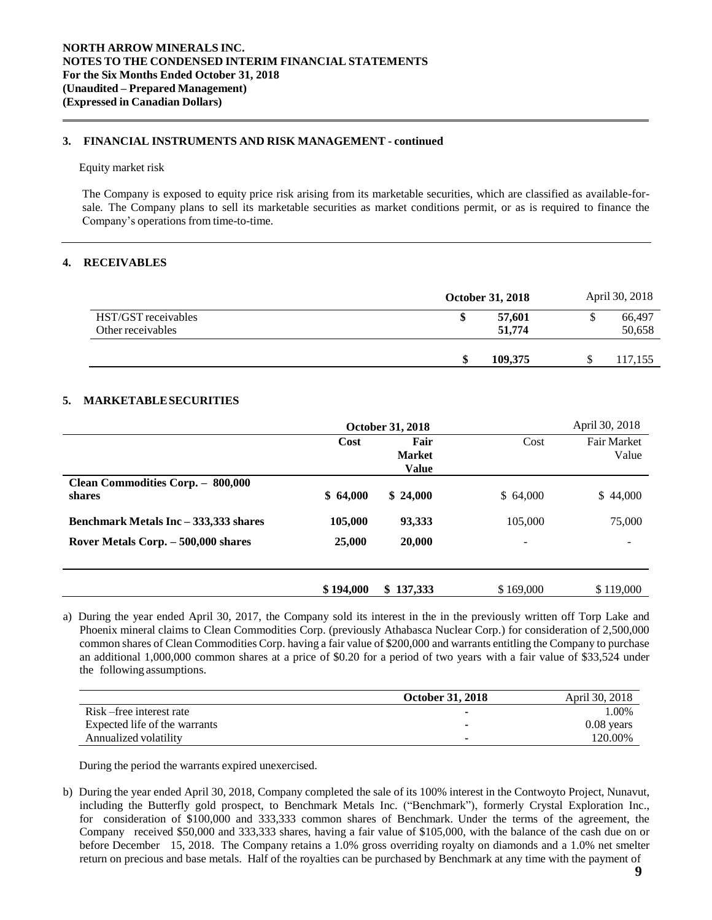# **3. FINANCIAL INSTRUMENTS AND RISK MANAGEMENT - continued**

#### Equity market risk

The Company is exposed to equity price risk arising from its marketable securities, which are classified as available-forsale. The Company plans to sell its marketable securities as market conditions permit, or as is required to finance the Company's operations from time-to-time.

# **4. RECEIVABLES**

|                     | <b>October 31, 2018</b> | April 30, 2018 |
|---------------------|-------------------------|----------------|
| HST/GST receivables | 57,601                  | 66,497         |
| Other receivables   | 51,774                  | 50,658         |
|                     |                         |                |
|                     | 109.375                 | 117,155        |

# **5. MARKETABLESECURITIES**

|                                             | <b>October 31, 2018</b> |                                       |           | April 30, 2018              |
|---------------------------------------------|-------------------------|---------------------------------------|-----------|-----------------------------|
|                                             | Cost                    | Fair<br><b>Market</b><br><b>Value</b> | Cost      | <b>Fair Market</b><br>Value |
| Clean Commodities Corp. - 800,000<br>shares | \$64,000                | \$24,000                              | \$64,000  | \$44,000                    |
| Benchmark Metals Inc - 333,333 shares       | 105,000                 | 93,333                                | 105,000   | 75,000                      |
| Rover Metals Corp. – 500,000 shares         | 25,000                  | 20,000                                | -         |                             |
|                                             | \$194,000               | \$137,333                             | \$169,000 | \$119,000                   |

a) During the year ended April 30, 2017, the Company sold its interest in the in the previously written off Torp Lake and Phoenix mineral claims to Clean Commodities Corp. (previously Athabasca Nuclear Corp.) for consideration of 2,500,000 common shares of Clean Commodities Corp. having a fair value of \$200,000 and warrants entitling the Company to purchase an additional 1,000,000 common shares at a price of \$0.20 for a period of two years with a fair value of \$33,524 under the following assumptions.

|                               | <b>October 31, 2018</b> | April 30, 2018 |
|-------------------------------|-------------------------|----------------|
| Risk-free interest rate       |                         | $1.00\%$       |
| Expected life of the warrants |                         | $0.08$ years   |
| Annualized volatility         |                         | 120.00%        |

During the period the warrants expired unexercised.

b) During the year ended April 30, 2018, Company completed the sale of its 100% interest in the Contwoyto Project, Nunavut, including the Butterfly gold prospect, to Benchmark Metals Inc. ("Benchmark"), formerly Crystal Exploration Inc., for consideration of \$100,000 and 333,333 common shares of Benchmark. Under the terms of the agreement, the Company received \$50,000 and 333,333 shares, having a fair value of \$105,000, with the balance of the cash due on or before December 15, 2018. The Company retains a 1.0% gross overriding royalty on diamonds and a 1.0% net smelter return on precious and base metals. Half of the royalties can be purchased by Benchmark at any time with the payment of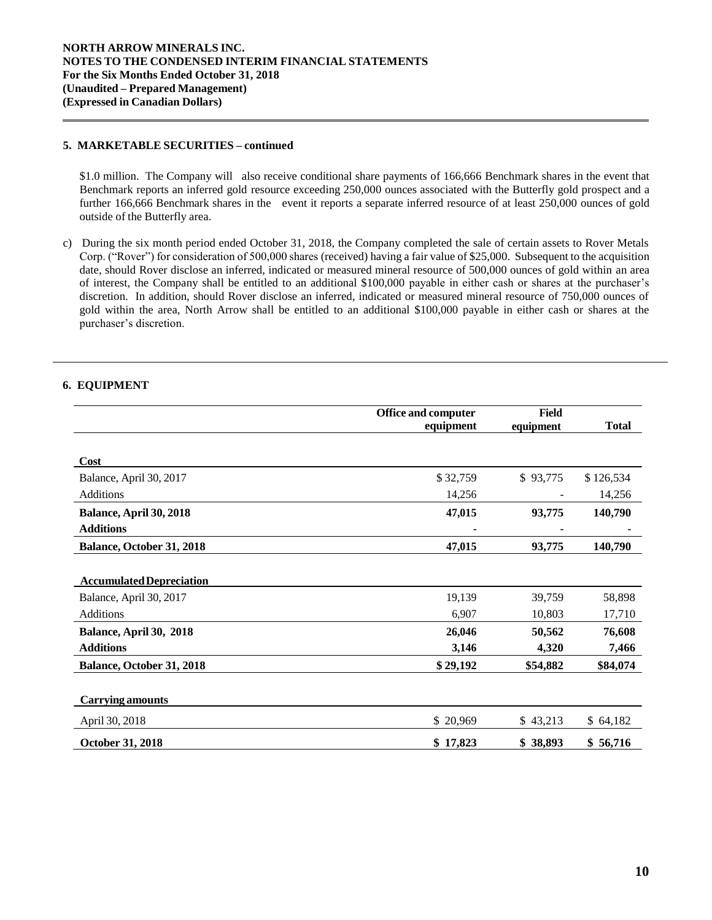# **5. MARKETABLE SECURITIES – continued**

\$1.0 million. The Company will also receive conditional share payments of 166,666 Benchmark shares in the event that Benchmark reports an inferred gold resource exceeding 250,000 ounces associated with the Butterfly gold prospect and a further 166,666 Benchmark shares in the event it reports a separate inferred resource of at least 250,000 ounces of gold outside of the Butterfly area.

c) During the six month period ended October 31, 2018, the Company completed the sale of certain assets to Rover Metals Corp. ("Rover") for consideration of 500,000 shares (received) having a fair value of \$25,000. Subsequent to the acquisition date, should Rover disclose an inferred, indicated or measured mineral resource of 500,000 ounces of gold within an area of interest, the Company shall be entitled to an additional \$100,000 payable in either cash or shares at the purchaser's discretion. In addition, should Rover disclose an inferred, indicated or measured mineral resource of 750,000 ounces of gold within the area, North Arrow shall be entitled to an additional \$100,000 payable in either cash or shares at the purchaser's discretion.

# **6. EQUIPMENT**

|                                 | <b>Office and computer</b> | Field     |              |  |
|---------------------------------|----------------------------|-----------|--------------|--|
|                                 | equipment                  | equipment | <b>Total</b> |  |
|                                 |                            |           |              |  |
| <b>Cost</b>                     |                            |           |              |  |
| Balance, April 30, 2017         | \$32,759                   | \$93,775  | \$126,534    |  |
| <b>Additions</b>                | 14,256                     |           | 14,256       |  |
| Balance, April 30, 2018         | 47,015                     | 93,775    | 140,790      |  |
| <b>Additions</b>                |                            |           |              |  |
| Balance, October 31, 2018       | 47,015                     | 93,775    | 140,790      |  |
|                                 |                            |           |              |  |
| <b>Accumulated Depreciation</b> |                            |           |              |  |
| Balance, April 30, 2017         | 19,139                     | 39,759    | 58,898       |  |
| Additions                       | 6,907                      | 10,803    | 17,710       |  |
| Balance, April 30, 2018         | 26,046                     | 50,562    | 76,608       |  |
| <b>Additions</b>                | 3,146                      | 4,320     | 7,466        |  |
| Balance, October 31, 2018       | \$29,192                   | \$54,882  | \$84,074     |  |
|                                 |                            |           |              |  |
| <b>Carrying amounts</b>         |                            |           |              |  |
| April 30, 2018                  | \$20,969                   | \$43,213  | \$64,182     |  |
| October 31, 2018                | \$17,823                   | \$38,893  | \$56,716     |  |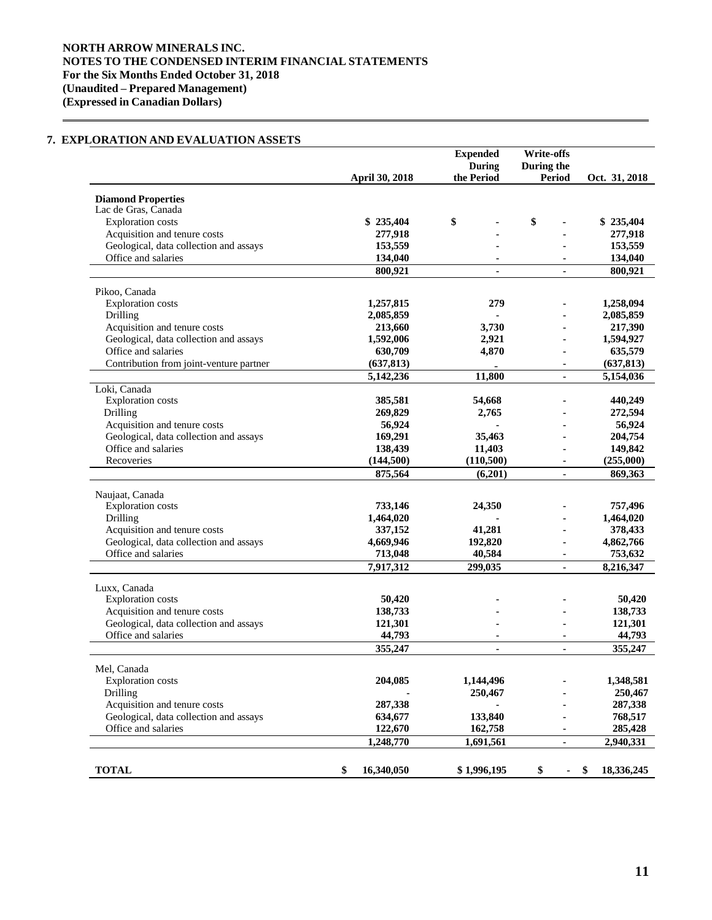# **NORTH ARROW MINERALS INC. NOTES TO THE CONDENSED INTERIM FINANCIAL STATEMENTS For the Six Months Ended October 31, 2018 (Unaudited – Prepared Management) (Expressed in Canadian Dollars)**

# **7. EXPLORATION AND EVALUATION ASSETS**

|                                         |                       | <b>Expended</b> | Write-offs               |                  |
|-----------------------------------------|-----------------------|-----------------|--------------------------|------------------|
|                                         |                       | <b>During</b>   | During the               |                  |
|                                         | <b>April 30, 2018</b> | the Period      | <b>Period</b>            | Oct. 31, 2018    |
| <b>Diamond Properties</b>               |                       |                 |                          |                  |
| Lac de Gras, Canada                     |                       |                 |                          |                  |
| <b>Exploration</b> costs                | \$235,404             | \$              | \$                       | \$235,404        |
| Acquisition and tenure costs            | 277,918               |                 |                          | 277,918          |
| Geological, data collection and assays  | 153,559               |                 |                          | 153,559          |
| Office and salaries                     | 134,040               |                 |                          | 134,040          |
|                                         | 800,921               |                 |                          | 800,921          |
|                                         |                       |                 |                          |                  |
| Pikoo, Canada                           |                       |                 |                          |                  |
| <b>Exploration</b> costs                | 1,257,815             | 279             |                          | 1,258,094        |
| Drilling                                | 2,085,859             |                 |                          | 2,085,859        |
| Acquisition and tenure costs            | 213,660               | 3,730           |                          | 217,390          |
| Geological, data collection and assays  | 1,592,006             | 2,921           | ä,                       | 1,594,927        |
| Office and salaries                     | 630,709               | 4,870           |                          | 635,579          |
| Contribution from joint-venture partner | (637, 813)            |                 |                          | (637, 813)       |
|                                         | 5,142,236             | 11,800          |                          | 5,154,036        |
| Loki, Canada                            |                       |                 |                          |                  |
| <b>Exploration</b> costs                | 385,581               | 54,668          |                          | 440,249          |
| Drilling                                | 269,829               | 2,765           |                          | 272,594          |
| Acquisition and tenure costs            | 56,924                |                 |                          | 56,924           |
| Geological, data collection and assays  | 169,291               | 35,463          |                          | 204,754          |
| Office and salaries                     | 138,439               | 11,403          |                          | 149,842          |
| Recoveries                              | (144,500)             | (110, 500)      |                          | (255,000)        |
|                                         | 875,564               | (6,201)         | ٠                        | 869,363          |
| Naujaat, Canada                         |                       |                 |                          |                  |
| Exploration costs                       | 733,146               | 24,350          |                          | 757,496          |
| Drilling                                | 1,464,020             |                 |                          | 1,464,020        |
| Acquisition and tenure costs            | 337,152               | 41,281          |                          | 378,433          |
| Geological, data collection and assays  | 4,669,946             | 192,820         |                          | 4,862,766        |
| Office and salaries                     | 713,048               | 40,584          | $\blacksquare$           | 753,632          |
|                                         | 7,917,312             | 299,035         | ٠                        | 8,216,347        |
|                                         |                       |                 |                          |                  |
| Luxx, Canada                            |                       |                 |                          |                  |
| <b>Exploration</b> costs                | 50,420                |                 |                          | 50,420           |
| Acquisition and tenure costs            | 138,733               |                 |                          | 138,733          |
| Geological, data collection and assays  | 121,301               |                 |                          | 121,301          |
| Office and salaries                     | 44,793                |                 |                          | 44,793           |
|                                         | 355,247               | $\blacksquare$  | $\overline{\phantom{a}}$ | 355,247          |
| Mel, Canada                             |                       |                 |                          |                  |
| <b>Exploration</b> costs                | 204,085               | 1,144,496       |                          | 1,348,581        |
| Drilling                                |                       | 250,467         |                          | 250,467          |
| Acquisition and tenure costs            | 287,338               |                 |                          | 287,338          |
| Geological, data collection and assays  | 634,677               | 133,840         |                          | 768,517          |
| Office and salaries                     | 122,670               | 162,758         |                          | 285,428          |
|                                         | 1,248,770             | 1,691,561       | ۰                        | 2,940,331        |
|                                         |                       |                 |                          |                  |
| <b>TOTAL</b>                            | \$<br>16,340,050      | \$1,996,195     | \$<br>۰                  | 18,336,245<br>\$ |
|                                         |                       |                 |                          |                  |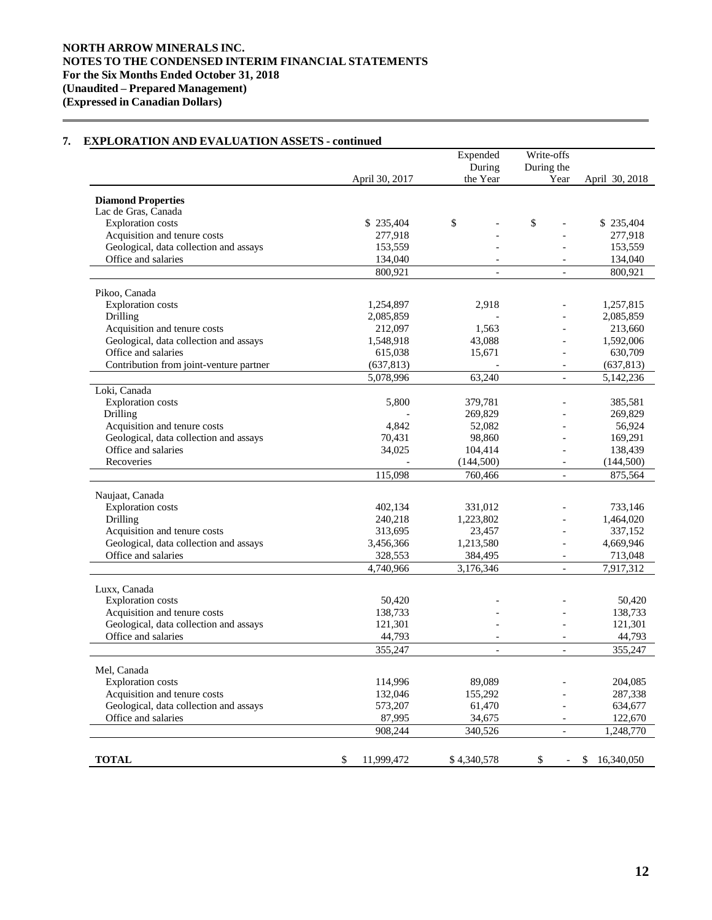#### April 30, 2017 Expended During the Year Write-offs During the<br>Year April 30, 2018 **Diamond Properties** Lac de Gras, Canada Exploration costs \$ 235,404 \$ - \$ 235,404<br>Acquisition and tenure costs \$ 277,918 - \$ 277,918 Acquisition and tenure costs 277,918 - 277,918 Geological, data collection and assays 153,559 - 153,559 - 153,559 - 153,559 - 153,559 - 153,559 - 153,659 - 153,659 - 153,659 - 153,659 - 153,659 - 153,659 - 153,659 - 153,659 - 153,659 - 154,040 - 154,040 - 154,040 - 154 Office and salaries 134,040 - 134,040 - 134,040 - 134,040 - 134,040 - 134,040 - 134,040 - 134,040 - 134,040 - 134,040 - 134,040 - 134,040 - 134,040 - 134,040 - 134,040 - 134,040 - 135,040 - 135,040 - 135,040 - 135,040 - 13 800,921 - 800,921 Pikoo, Canada Exploration costs 1,254,897 2,918 - 1,257,815 **Drilling 2,085,859** - 2,085,859 - 2,085,859 Acquisition and tenure costs 212,097 1,563 - 213,660 Geological, data collection and assays 1,548,918 43,088 - 1,592,006 Office and salaries 615,038 15,671 - 630,709 Contribution from joint-venture partner (637,813) (637,813) (637,813) 5,078,996 63,240 - 5,142,236 Loki, Canada Exploration costs 6,800 379,781 - 385,581 Drilling 269,829 - 269,829 - 269,829 - 269,829 - 269,829 - 269,829 - 269,829 - 269,829 - 269,829 - 269,829 - 269,829 Acquisition and tenure costs  $4,842$  52,082 - 56,924 Geological, data collection and assays  $70,431$  98,860 - 169,291 Office and salaries 34,025 104,414 - 138,439 Recoveries (144,500) (144,500) (144,500) (144,500) 115,098 760,466 - 875,564 Naujaat, Canada Exploration costs 402,134 331,012 - 733,146 Drilling 240,218 1,223,802 - 1,464,020 Acquisition and tenure costs<br>
Geological, data collection and assays<br>  $3.456366$ <br>  $3.456366$ <br>  $1.213580$ <br>  $-4.669946$ Geological, data collection and assays 3,456,366 1,213,580 -Office and salaries 328,553 384,495 - 713,048 4,740,966 3,176,346 - 7,917,312 Luxx, Canada Exploration costs 50,420  $50,420$  - 50,420 Acquisition and tenure costs 138,733 138,733 138,733 Geological, data collection and assays 121,301 - 121,301 - 121,301 Office and salaries and salaries and salaries and salaries and salaries and salaries and  $44,793$  and  $44,793$  and  $44,793$ 355,247 - - 355,247 Mel, Canada Exploration costs 114,996 89,089 - 204,085 Acquisition and tenure costs 132,046 155,292 - 287,338 Geological, data collection and assays 6573,207 61,470 634,677 61,470 Office and salaries 87.995 34.675 - 122.670 908,244 340,526 - 1,248,770 **TOTAL** \$ 11,999,472 \$ 4,340,578 \$ - \$ 16,340,050

# **7. EXPLORATION AND EVALUATION ASSETS - continued**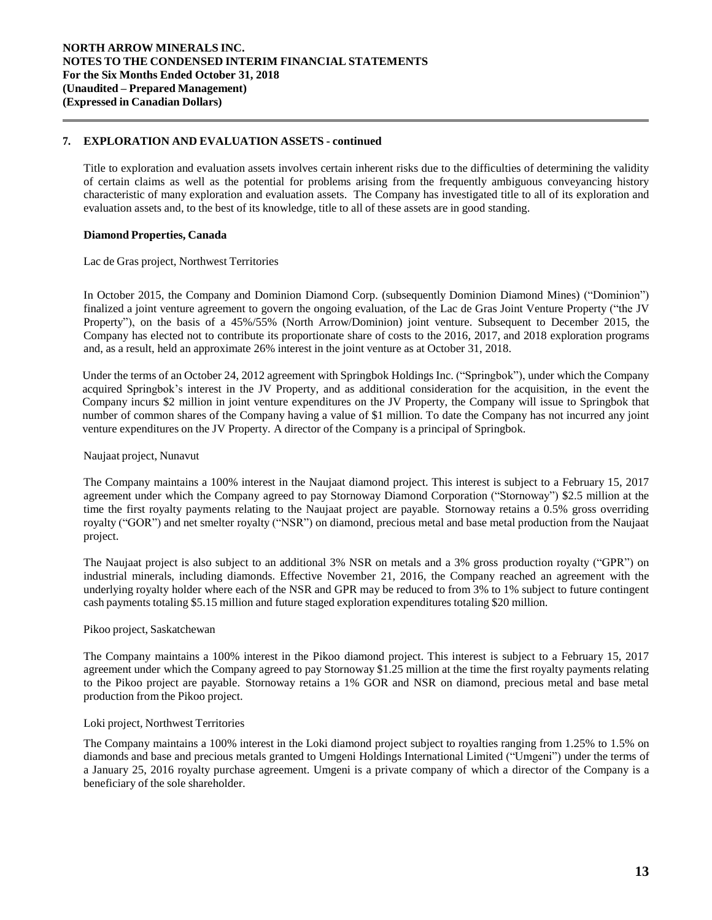# **7. EXPLORATION AND EVALUATION ASSETS - continued**

Title to exploration and evaluation assets involves certain inherent risks due to the difficulties of determining the validity of certain claims as well as the potential for problems arising from the frequently ambiguous conveyancing history characteristic of many exploration and evaluation assets. The Company has investigated title to all of its exploration and evaluation assets and, to the best of its knowledge, title to all of these assets are in good standing.

# **Diamond Properties, Canada**

Lac de Gras project, Northwest Territories

In October 2015, the Company and Dominion Diamond Corp. (subsequently Dominion Diamond Mines) ("Dominion") finalized a joint venture agreement to govern the ongoing evaluation, of the Lac de Gras Joint Venture Property ("the JV Property"), on the basis of a 45%/55% (North Arrow/Dominion) joint venture. Subsequent to December 2015, the Company has elected not to contribute its proportionate share of costs to the 2016, 2017, and 2018 exploration programs and, as a result, held an approximate 26% interest in the joint venture as at October 31, 2018.

Under the terms of an October 24, 2012 agreement with Springbok Holdings Inc. ("Springbok"), under which the Company acquired Springbok's interest in the JV Property, and as additional consideration for the acquisition, in the event the Company incurs \$2 million in joint venture expenditures on the JV Property, the Company will issue to Springbok that number of common shares of the Company having a value of \$1 million. To date the Company has not incurred any joint venture expenditures on the JV Property. A director of the Company is a principal of Springbok.

### Naujaat project, Nunavut

The Company maintains a 100% interest in the Naujaat diamond project. This interest is subject to a February 15, 2017 agreement under which the Company agreed to pay Stornoway Diamond Corporation ("Stornoway") \$2.5 million at the time the first royalty payments relating to the Naujaat project are payable. Stornoway retains a 0.5% gross overriding royalty ("GOR") and net smelter royalty ("NSR") on diamond, precious metal and base metal production from the Naujaat project.

The Naujaat project is also subject to an additional 3% NSR on metals and a 3% gross production royalty ("GPR") on industrial minerals, including diamonds. Effective November 21, 2016, the Company reached an agreement with the underlying royalty holder where each of the NSR and GPR may be reduced to from 3% to 1% subject to future contingent cash payments totaling \$5.15 million and future staged exploration expenditures totaling \$20 million.

#### Pikoo project, Saskatchewan

The Company maintains a 100% interest in the Pikoo diamond project. This interest is subject to a February 15, 2017 agreement under which the Company agreed to pay Stornoway \$1.25 million at the time the first royalty payments relating to the Pikoo project are payable. Stornoway retains a 1% GOR and NSR on diamond, precious metal and base metal production from the Pikoo project.

#### Loki project, Northwest Territories

The Company maintains a 100% interest in the Loki diamond project subject to royalties ranging from 1.25% to 1.5% on diamonds and base and precious metals granted to Umgeni Holdings International Limited ("Umgeni") under the terms of a January 25, 2016 royalty purchase agreement. Umgeni is a private company of which a director of the Company is a beneficiary of the sole shareholder.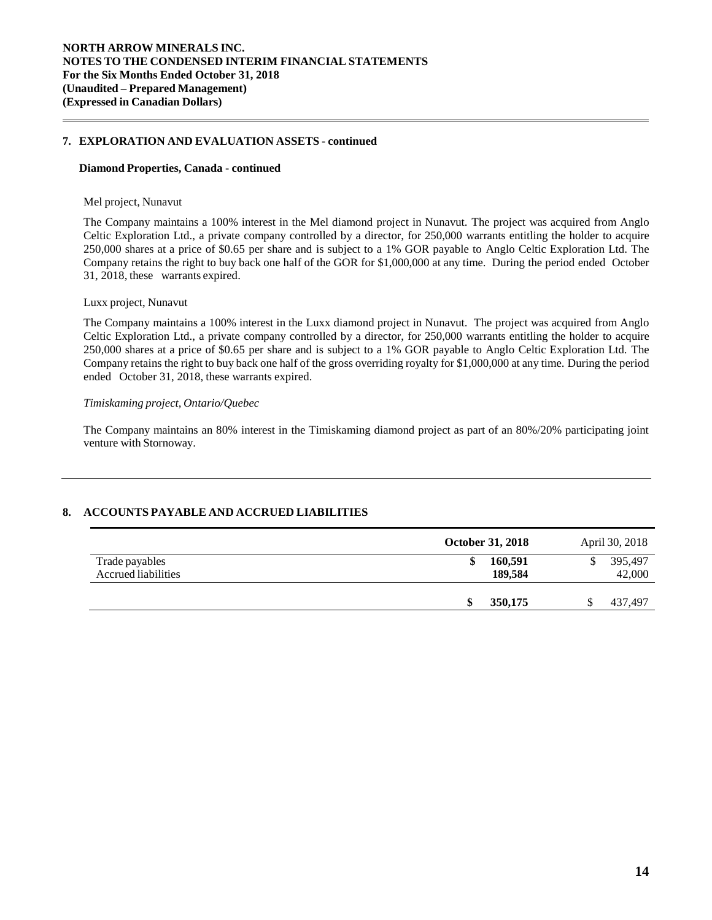# **7. EXPLORATION AND EVALUATION ASSETS - continued**

#### **Diamond Properties, Canada - continued**

#### Mel project, Nunavut

The Company maintains a 100% interest in the Mel diamond project in Nunavut. The project was acquired from Anglo Celtic Exploration Ltd., a private company controlled by a director, for 250,000 warrants entitling the holder to acquire 250,000 shares at a price of \$0.65 per share and is subject to a 1% GOR payable to Anglo Celtic Exploration Ltd. The Company retains the right to buy back one half of the GOR for \$1,000,000 at any time. During the period ended October 31, 2018, these warrants expired.

#### Luxx project, Nunavut

The Company maintains a 100% interest in the Luxx diamond project in Nunavut. The project was acquired from Anglo Celtic Exploration Ltd., a private company controlled by a director, for 250,000 warrants entitling the holder to acquire 250,000 shares at a price of \$0.65 per share and is subject to a 1% GOR payable to Anglo Celtic Exploration Ltd. The Company retains the right to buy back one half of the gross overriding royalty for \$1,000,000 at any time. During the period ended October 31, 2018, these warrants expired.

# *Timiskaming project, Ontario/Quebec*

The Company maintains an 80% interest in the Timiskaming diamond project as part of an 80%/20% participating joint venture with Stornoway.

# **8. ACCOUNTS PAYABLE AND ACCRUED LIABILITIES**

|                                       | <b>October 31, 2018</b> | April 30, 2018    |
|---------------------------------------|-------------------------|-------------------|
| Trade payables<br>Accrued liabilities | 160,591<br>S<br>189.584 | 395,497<br>42,000 |
|                                       | 350,175<br>\$           | \$<br>437,497     |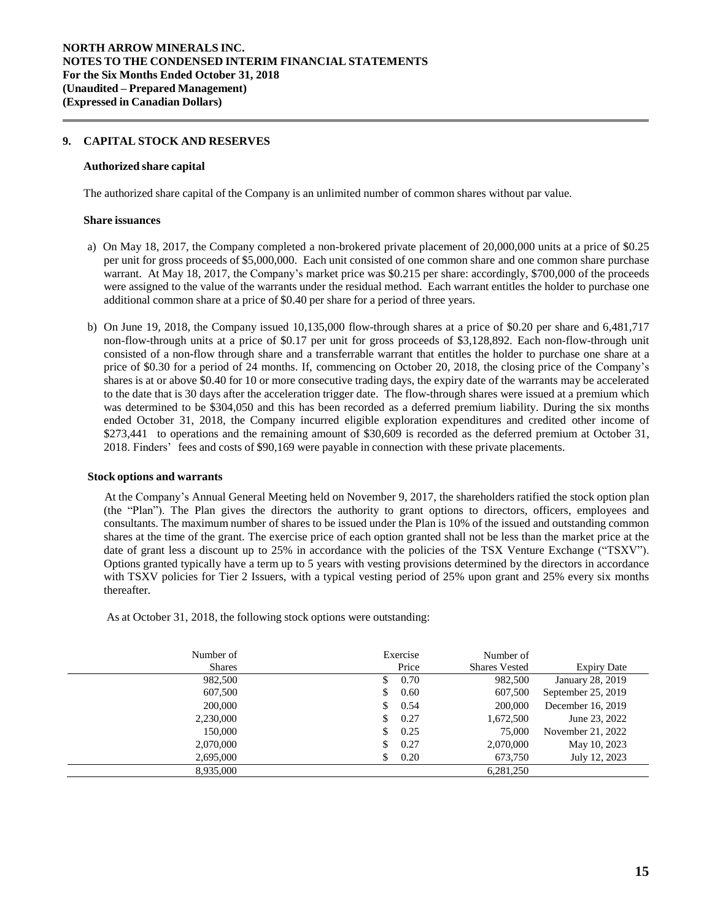# **9. CAPITAL STOCK AND RESERVES**

#### **Authorized share capital**

The authorized share capital of the Company is an unlimited number of common shares without par value.

#### **Share issuances**

- a) On May 18, 2017, the Company completed a non-brokered private placement of 20,000,000 units at a price of \$0.25 per unit for gross proceeds of \$5,000,000. Each unit consisted of one common share and one common share purchase warrant. At May 18, 2017, the Company's market price was \$0.215 per share: accordingly, \$700,000 of the proceeds were assigned to the value of the warrants under the residual method. Each warrant entitles the holder to purchase one additional common share at a price of \$0.40 per share for a period of three years.
- b) On June 19, 2018, the Company issued 10,135,000 flow-through shares at a price of \$0.20 per share and 6,481,717 non-flow-through units at a price of \$0.17 per unit for gross proceeds of \$3,128,892. Each non-flow-through unit consisted of a non-flow through share and a transferrable warrant that entitles the holder to purchase one share at a price of \$0.30 for a period of 24 months. If, commencing on October 20, 2018, the closing price of the Company's shares is at or above \$0.40 for 10 or more consecutive trading days, the expiry date of the warrants may be accelerated to the date that is 30 days after the acceleration trigger date. The flow-through shares were issued at a premium which was determined to be \$304,050 and this has been recorded as a deferred premium liability. During the six months ended October 31, 2018, the Company incurred eligible exploration expenditures and credited other income of \$273,441 to operations and the remaining amount of \$30,609 is recorded as the deferred premium at October 31, 2018. Finders' fees and costs of \$90,169 were payable in connection with these private placements.

#### **Stock options and warrants**

At the Company's Annual General Meeting held on November 9, 2017, the shareholders ratified the stock option plan (the "Plan"). The Plan gives the directors the authority to grant options to directors, officers, employees and consultants. The maximum number of shares to be issued under the Plan is 10% of the issued and outstanding common shares at the time of the grant. The exercise price of each option granted shall not be less than the market price at the date of grant less a discount up to 25% in accordance with the policies of the TSX Venture Exchange ("TSXV"). Options granted typically have a term up to 5 years with vesting provisions determined by the directors in accordance with TSXV policies for Tier 2 Issuers, with a typical vesting period of 25% upon grant and 25% every six months thereafter.

As at October 31, 2018, the following stock options were outstanding:

| Number of     | Exercise   | Number of            |                    |
|---------------|------------|----------------------|--------------------|
| <b>Shares</b> | Price      | <b>Shares Vested</b> | <b>Expiry Date</b> |
| 982,500       | 0.70<br>S. | 982,500              | January 28, 2019   |
| 607,500       | 0.60<br>S  | 607,500              | September 25, 2019 |
| 200,000       | 0.54<br>S  | 200,000              | December 16, 2019  |
| 2,230,000     | 0.27<br>S  | 1,672,500            | June 23, 2022      |
| 150,000       | 0.25<br>S. | 75,000               | November 21, 2022  |
| 2,070,000     | 0.27<br>\$ | 2,070,000            | May 10, 2023       |
| 2,695,000     | 0.20<br>\$ | 673,750              | July 12, 2023      |
| 8,935,000     |            | 6,281,250            |                    |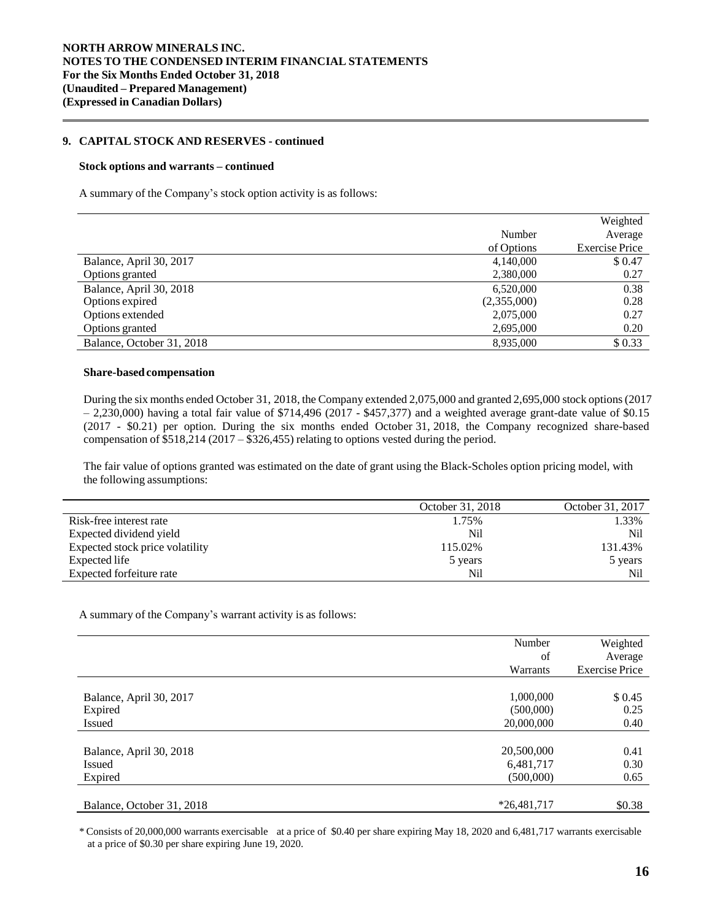# **9. CAPITAL STOCK AND RESERVES - continued**

#### **Stock options and warrants – continued**

A summary of the Company's stock option activity is as follows:

|                           |             | Weighted              |
|---------------------------|-------------|-----------------------|
|                           | Number      | Average               |
|                           | of Options  | <b>Exercise Price</b> |
| Balance, April 30, 2017   | 4,140,000   | \$0.47                |
| Options granted           | 2,380,000   | 0.27                  |
| Balance, April 30, 2018   | 6,520,000   | 0.38                  |
| Options expired           | (2,355,000) | 0.28                  |
| Options extended          | 2,075,000   | 0.27                  |
| Options granted           | 2,695,000   | 0.20                  |
| Balance, October 31, 2018 | 8,935,000   | \$0.33                |

#### **Share-based compensation**

During the six months ended October 31, 2018, the Company extended 2,075,000 and granted 2,695,000 stock options(2017  $-2,230,000$ ) having a total fair value of \$714,496 (2017 - \$457,377) and a weighted average grant-date value of \$0.15 (2017 - \$0.21) per option. During the six months ended October 31, 2018, the Company recognized share-based compensation of \$518,214 (2017 – \$326,455) relating to options vested during the period.

The fair value of options granted was estimated on the date of grant using the Black-Scholes option pricing model, with the following assumptions:

|                                 | October 31, 2018 | October 31, 2017 |
|---------------------------------|------------------|------------------|
| Risk-free interest rate         | 1.75%            | 1.33%            |
| Expected dividend yield         | Nil              | N <sub>i</sub>   |
| Expected stock price volatility | 115.02%          | 131.43%          |
| Expected life                   | 5 years          | 5 years          |
| Expected forfeiture rate        | Nil              | Nil              |

A summary of the Company's warrant activity is as follows:

|                           | Number<br>of<br>Warrants | Weighted<br>Average<br><b>Exercise Price</b> |
|---------------------------|--------------------------|----------------------------------------------|
| Balance, April 30, 2017   | 1,000,000                | \$0.45                                       |
| Expired                   | (500,000)                | 0.25                                         |
| <b>Issued</b>             | 20,000,000               | 0.40                                         |
| Balance, April 30, 2018   | 20,500,000               | 0.41                                         |
| <b>Issued</b>             | 6,481,717                | 0.30                                         |
| Expired                   | (500,000)                | 0.65                                         |
| Balance, October 31, 2018 | $*26,481,717$            | \$0.38                                       |

\* Consists of 20,000,000 warrants exercisable at a price of \$0.40 per share expiring May 18, 2020 and 6,481,717 warrants exercisable at a price of \$0.30 per share expiring June 19, 2020.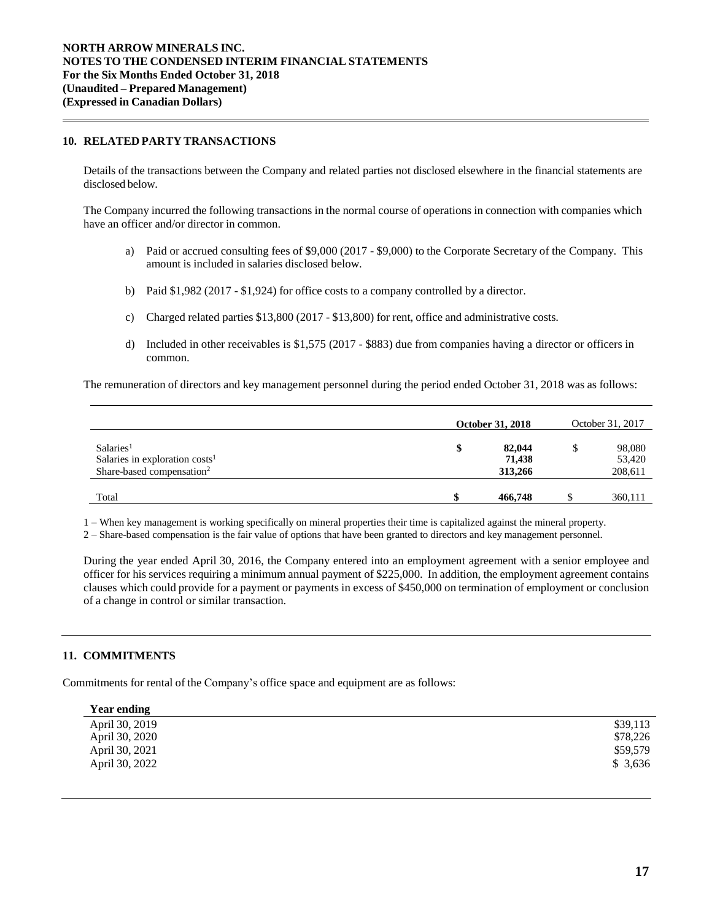# **10. RELATED PARTY TRANSACTIONS**

Details of the transactions between the Company and related parties not disclosed elsewhere in the financial statements are disclosed below.

The Company incurred the following transactions in the normal course of operations in connection with companies which have an officer and/or director in common.

- a) Paid or accrued consulting fees of \$9,000 (2017 \$9,000) to the Corporate Secretary of the Company. This amount is included in salaries disclosed below.
- b) Paid \$1,982 (2017 \$1,924) for office costs to a company controlled by a director.
- c) Charged related parties \$13,800 (2017 \$13,800) for rent, office and administrative costs.
- d) Included in other receivables is \$1,575 (2017 \$883) due from companies having a director or officers in common.

The remuneration of directors and key management personnel during the period ended October 31, 2018 was as follows:

|                                                                                                    | <b>October 31, 2018</b> |                             | October 31, 2017 |                             |
|----------------------------------------------------------------------------------------------------|-------------------------|-----------------------------|------------------|-----------------------------|
| Salaries <sup>1</sup><br>Salaries in exploration $costs1$<br>Share-based compensation <sup>2</sup> | \$                      | 82,044<br>71.438<br>313,266 |                  | 98,080<br>53,420<br>208,611 |
| Total                                                                                              |                         | 466,748                     |                  | 360,111                     |

1 – When key management is working specifically on mineral properties their time is capitalized against the mineral property.

2 – Share-based compensation is the fair value of options that have been granted to directors and key management personnel.

During the year ended April 30, 2016, the Company entered into an employment agreement with a senior employee and officer for his services requiring a minimum annual payment of \$225,000. In addition, the employment agreement contains clauses which could provide for a payment or payments in excess of \$450,000 on termination of employment or conclusion of a change in control or similar transaction.

# **11. COMMITMENTS**

Commitments for rental of the Company's office space and equipment are as follows:

| <b>Year ending</b> |          |
|--------------------|----------|
| April 30, 2019     | \$39,113 |
| April 30, 2020     | \$78,226 |
| April 30, 2021     | \$59,579 |
| April 30, 2022     | \$3,636  |
|                    |          |